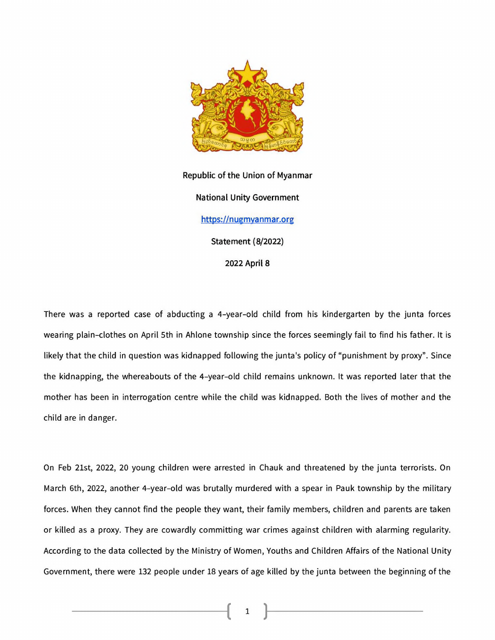

**Republic of the Union of Myanmar**

**National Unity Government**

**[https://nuemyanmar.org](https://nuemvanmar.org)**

**Statement (8/2022)**

**2022 April 8**

There was a reported case of abducting a 4-year-old child from his kindergarten by the junta forces wearing plain-clothes on April 5th in Ahlone township since the forces seemingly fail to find his father. It is likely that the child in question was kidnapped following the junta's policy of "punishment by proxy". Since the kidnapping, the whereabouts of the 4-year-old child remains unknown. It was reported later that the mother has been in interrogation centre while the child was kidnapped. Both the lives of mother and the child are in danger.

On Feb 21st, 2022, 20 young children were arrested in Chauk and threatened by the junta terrorists. On March 6th, 2022, another 4-year-old was brutally murdered with a spear in Pauk township by the military forces. When they cannot find the people they want, their family members, children and parents are taken or killed as a proxy. They are cowardly committing war crimes against children with alarming regularity. According to the data collected by the Ministry of Women, Youths and Children Affairs of the National Unity Government, there were 132 people under 18 years of age killed by the junta between the beginning of the